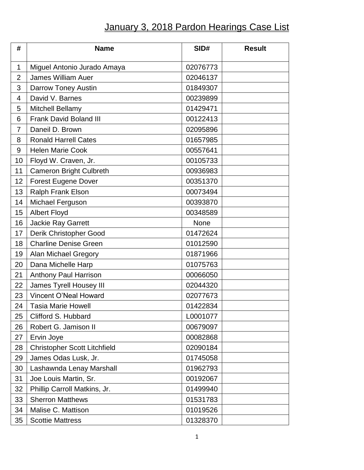## January 3, 2018 Pardon Hearings Case List

| #              | <b>Name</b>                         | SID#     | <b>Result</b> |
|----------------|-------------------------------------|----------|---------------|
| $\mathbf 1$    | Miguel Antonio Jurado Amaya         | 02076773 |               |
| $\overline{2}$ | <b>James William Auer</b>           | 02046137 |               |
| 3              | <b>Darrow Toney Austin</b>          | 01849307 |               |
| 4              | David V. Barnes                     | 00239899 |               |
| 5              | Mitchell Bellamy                    | 01429471 |               |
| 6              | <b>Frank David Boland III</b>       | 00122413 |               |
| $\overline{7}$ | Daneil D. Brown                     | 02095896 |               |
| 8              | <b>Ronald Harrell Cates</b>         | 01657985 |               |
| 9              | <b>Helen Marie Cook</b>             | 00557641 |               |
| 10             | Floyd W. Craven, Jr.                | 00105733 |               |
| 11             | <b>Cameron Bright Culbreth</b>      | 00936983 |               |
| 12             | <b>Forest Eugene Dover</b>          | 00351370 |               |
| 13             | Ralph Frank Elson                   | 00073494 |               |
| 14             | Michael Ferguson                    | 00393870 |               |
| 15             | <b>Albert Floyd</b>                 | 00348589 |               |
| 16             | <b>Jackie Ray Garrett</b>           | None     |               |
| 17             | Derik Christopher Good              | 01472624 |               |
| 18             | <b>Charline Denise Green</b>        | 01012590 |               |
| 19             | <b>Alan Michael Gregory</b>         | 01871966 |               |
| 20             | Dana Michelle Harp                  | 01075763 |               |
| 21             | Anthony Paul Harrison               | 00066050 |               |
| 22             | James Tyrell Housey III             | 02044320 |               |
| 23             | Vincent O'Neal Howard               | 02077673 |               |
| 24             | <b>Tasia Marie Howell</b>           | 01422834 |               |
| 25             | Clifford S. Hubbard                 | L0001077 |               |
| 26             | Robert G. Jamison II                | 00679097 |               |
| 27             | Ervin Joye                          | 00082868 |               |
| 28             | <b>Christopher Scott Litchfield</b> | 02090184 |               |
| 29             | James Odas Lusk, Jr.                | 01745058 |               |
| 30             | Lashawnda Lenay Marshall            | 01962793 |               |
| 31             | Joe Louis Martin, Sr.               | 00192067 |               |
| 32             | Phillip Carroll Matkins, Jr.        | 01499940 |               |
| 33             | <b>Sherron Matthews</b>             | 01531783 |               |
| 34             | Malise C. Mattison                  | 01019526 |               |
| 35             | <b>Scottie Mattress</b>             | 01328370 |               |